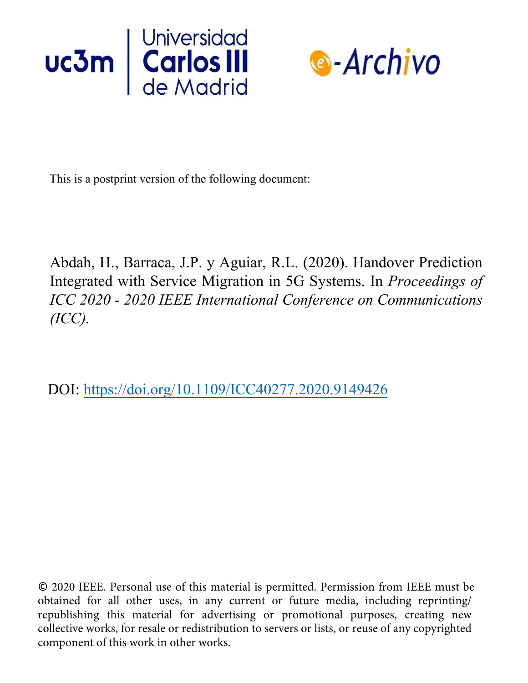



This is a postprint version of the following document:

Abdah, H., Barraca, J.P. y Aguiar, R.L. (2020). Handover Prediction Integrated with Service Migration in 5G Systems. In *Proceedings of ICC 2020 - 2020 IEEE International Conference on Communications (ICC).*

DOI: https://doi.org/10.1109/ICC40277.2020.9149426

© 2020 IEEE. Personal use of this material is permitted. Permission from IEEE must be obtained for all other uses, in any current or future media, including reprinting/ republishing this material for advertising or promotional purposes, creating new collective works, for resale or redistribution to servers or lists, or reuse of any copyrighted component of this work in other works.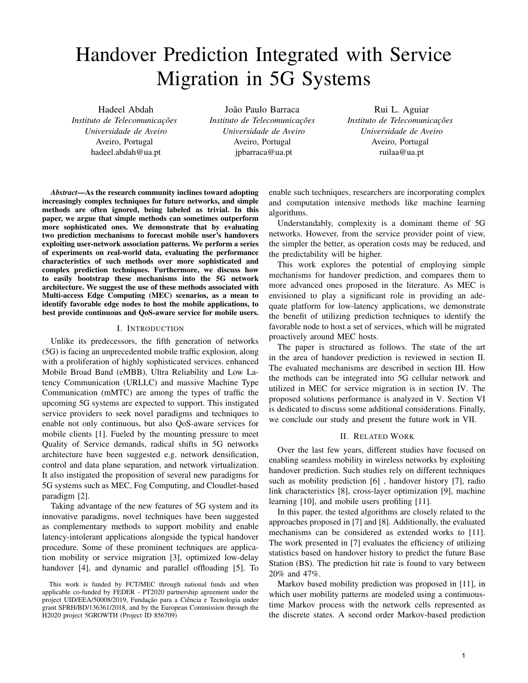# Handover Prediction Integrated with Service Migration in 5G Systems

Hadeel Abdah *Instituto de Telecomunicações Universidade de Aveiro* Aveiro, Portugal hadeel.abdah@ua.pt

João Paulo Barraca *Instituto de Telecomunicações Universidade de Aveiro* Aveiro, Portugal jpbarraca@ua.pt

Rui L. Aguiar *Instituto de Telecomunicações Universidade de Aveiro* Aveiro, Portugal ruilaa@ua.pt

*Abstract*—As the research community inclines toward adopting increasingly complex techniques for future networks, and simple methods are often ignored, being labeled as trivial. In this paper, we argue that simple methods can sometimes outperform more sophisticated ones. We demonstrate that by evaluating two prediction mechanisms to forecast mobile user's handovers exploiting user-network association patterns. We perform a series of experiments on real-world data, evaluating the performance characteristics of such methods over more sophisticated and complex prediction techniques. Furthermore, we discuss how to easily bootstrap these mechanisms into the 5G network architecture. We suggest the use of these methods associated with Multi-access Edge Computing (MEC) scenarios, as a mean to identify favorable edge nodes to host the mobile applications, to best provide continuous and QoS-aware service for mobile users.

#### I. INTRODUCTION

Unlike its predecessors, the fifth generation of networks (5G) is facing an unprecedented mobile traffic explosion, along with a proliferation of highly sophisticated services. enhanced Mobile Broad Band (eMBB), Ultra Reliability and Low Latency Communication (URLLC) and massive Machine Type Communication (mMTC) are among the types of traffic the upcoming 5G systems are expected to support. This instigated service providers to seek novel paradigms and techniques to enable not only continuous, but also QoS-aware services for mobile clients [1]. Fueled by the mounting pressure to meet Quality of Service demands, radical shifts in 5G networks architecture have been suggested e.g. network densification, control and data plane separation, and network virtualization. It also instigated the proposition of several new paradigms for 5G systems such as MEC, Fog Computing, and Cloudlet-based paradigm [2].

Taking advantage of the new features of 5G system and its innovative paradigms, novel techniques have been suggested as complementary methods to support mobility and enable latency-intolerant applications alongside the typical handover procedure. Some of these prominent techniques are application mobility or service migration [3], optimized low-delay handover [4], and dynamic and parallel offloading [5]. To enable such techniques, researchers are incorporating complex and computation intensive methods like machine learning algorithms.

Understandably, complexity is a dominant theme of 5G networks. However, from the service provider point of view, the simpler the better, as operation costs may be reduced, and the predictability will be higher.

This work explores the potential of employing simple mechanisms for handover prediction, and compares them to more advanced ones proposed in the literature. As MEC is envisioned to play a significant role in providing an adequate platform for low-latency applications, we demonstrate the benefit of utilizing prediction techniques to identify the favorable node to host a set of services, which will be migrated proactively around MEC hosts.

The paper is structured as follows. The state of the art in the area of handover prediction is reviewed in section II. The evaluated mechanisms are described in section III. How the methods can be integrated into 5G cellular network and utilized in MEC for service migration is in section IV. The proposed solutions performance is analyzed in V. Section VI is dedicated to discuss some additional considerations. Finally, we conclude our study and present the future work in VII.

## II. RELATED WORK

Over the last few years, different studies have focused on enabling seamless mobility in wireless networks by exploiting handover prediction. Such studies rely on different techniques such as mobility prediction [6] , handover history [7], radio link characteristics [8], cross-layer optimization [9], machine learning [10], and mobile users profiling [11].

In this paper, the tested algorithms are closely related to the approaches proposed in [7] and [8]. Additionally, the evaluated mechanisms can be considered as extended works to [11]. The work presented in [7] evaluates the efficiency of utilizing statistics based on handover history to predict the future Base Station (BS). The prediction hit rate is found to vary between 20% and 47%.

Markov based mobility prediction was proposed in [11], in which user mobility patterns are modeled using a continuoustime Markov process with the network cells represented as the discrete states. A second order Markov-based prediction

This work is funded by FCT/MEC through national funds and when applicable co-funded by FEDER - PT2020 partnership agreement under the project UID/EEA/50008/2019, Fundação para a Ciência e Tecnologia under grant SFRH/BD/136361/2018, and by the European Commission through the H2020 project 5GROWTH (Project ID 856709)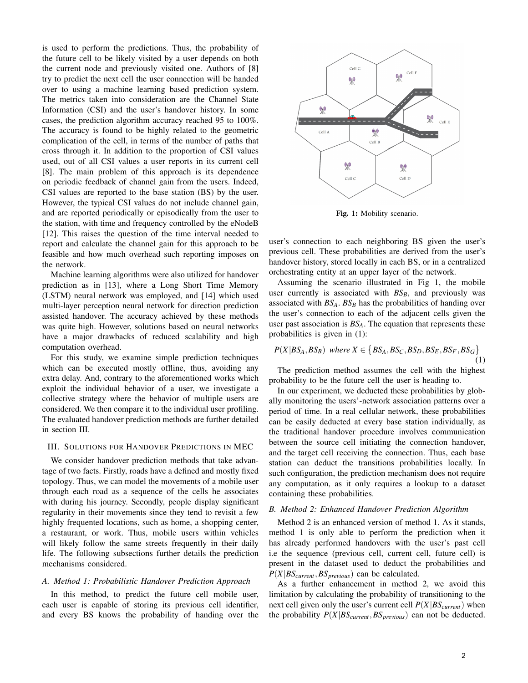is used to perform the predictions. Thus, the probability of the future cell to be likely visited by a user depends on both the current node and previously visited one. Authors of [8] try to predict the next cell the user connection will be handed over to using a machine learning based prediction system. The metrics taken into consideration are the Channel State Information (CSI) and the user's handover history. In some cases, the prediction algorithm accuracy reached 95 to 100%. The accuracy is found to be highly related to the geometric complication of the cell, in terms of the number of paths that cross through it. In addition to the proportion of CSI values used, out of all CSI values a user reports in its current cell [8]. The main problem of this approach is its dependence on periodic feedback of channel gain from the users. Indeed, CSI values are reported to the base station (BS) by the user. However, the typical CSI values do not include channel gain, and are reported periodically or episodically from the user to the station, with time and frequency controlled by the eNodeB [12]. This raises the question of the time interval needed to report and calculate the channel gain for this approach to be feasible and how much overhead such reporting imposes on the network.

Machine learning algorithms were also utilized for handover prediction as in [13], where a Long Short Time Memory (LSTM) neural network was employed, and [14] which used multi-layer perception neural network for direction prediction assisted handover. The accuracy achieved by these methods was quite high. However, solutions based on neural networks have a major drawbacks of reduced scalability and high computation overhead.

For this study, we examine simple prediction techniques which can be executed mostly offline, thus, avoiding any extra delay. And, contrary to the aforementioned works which exploit the individual behavior of a user, we investigate a collective strategy where the behavior of multiple users are considered. We then compare it to the individual user profiling. The evaluated handover prediction methods are further detailed in section III.

#### III. SOLUTIONS FOR HANDOVER PREDICTIONS IN MEC

We consider handover prediction methods that take advantage of two facts. Firstly, roads have a defined and mostly fixed topology. Thus, we can model the movements of a mobile user through each road as a sequence of the cells he associates with during his journey. Secondly, people display significant regularity in their movements since they tend to revisit a few highly frequented locations, such as home, a shopping center, a restaurant, or work. Thus, mobile users within vehicles will likely follow the same streets frequently in their daily life. The following subsections further details the prediction mechanisms considered.

## *A. Method 1: Probabilistic Handover Prediction Approach*

In this method, to predict the future cell mobile user, each user is capable of storing its previous cell identifier, and every BS knows the probability of handing over the



Fig. 1: Mobility scenario.

user's connection to each neighboring BS given the user's previous cell. These probabilities are derived from the user's handover history, stored locally in each BS, or in a centralized orchestrating entity at an upper layer of the network.

Assuming the scenario illustrated in Fig 1, the mobile user currently is associated with  $BS_B$ , and previously was associated with *BSA*. *BS<sup>B</sup>* has the probabilities of handing over the user's connection to each of the adjacent cells given the user past association is *BSA*. The equation that represents these probabilities is given in (1):

$$
P(X|BS_A, BS_B) \text{ where } X \in \{BS_A, BS_C, BS_D, BS_E, BS_F, BS_G\} \tag{1}
$$

The prediction method assumes the cell with the highest probability to be the future cell the user is heading to.

In our experiment, we deducted these probabilities by globally monitoring the users'-network association patterns over a period of time. In a real cellular network, these probabilities can be easily deducted at every base station individually, as the traditional handover procedure involves communication between the source cell initiating the connection handover, and the target cell receiving the connection. Thus, each base station can deduct the transitions probabilities locally. In such configuration, the prediction mechanism does not require any computation, as it only requires a lookup to a dataset containing these probabilities.

#### *B. Method 2: Enhanced Handover Prediction Algorithm*

Method 2 is an enhanced version of method 1. As it stands, method 1 is only able to perform the prediction when it has already performed handovers with the user's past cell i.e the sequence (previous cell, current cell, future cell) is present in the dataset used to deduct the probabilities and *P*(*X*|*BScurrent*,*BSprevious*) can be calculated.

As a further enhancement in method 2, we avoid this limitation by calculating the probability of transitioning to the next cell given only the user's current cell  $P(X|BS<sub>current</sub>)$  when the probability  $P(X|BS_{current}, BS_{previous})$  can not be deducted.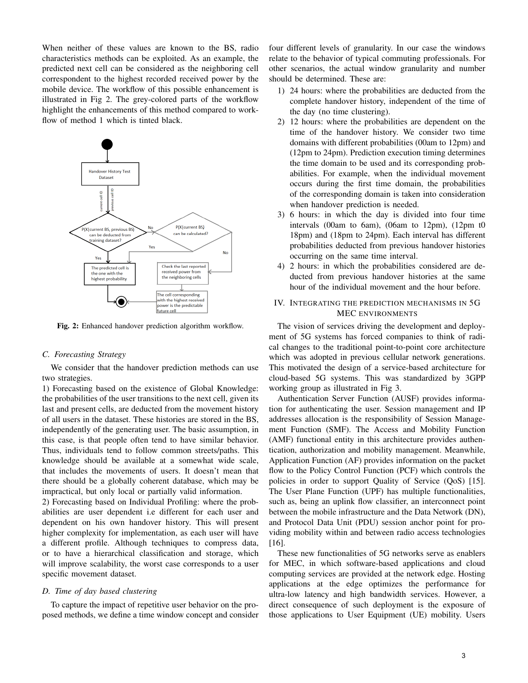When neither of these values are known to the BS, radio characteristics methods can be exploited. As an example, the predicted next cell can be considered as the neighboring cell correspondent to the highest recorded received power by the mobile device. The workflow of this possible enhancement is illustrated in Fig 2. The grey-colored parts of the workflow highlight the enhancements of this method compared to workflow of method 1 which is tinted black.



Fig. 2: Enhanced handover prediction algorithm workflow.

# *C. Forecasting Strategy*

We consider that the handover prediction methods can use two strategies.

1) Forecasting based on the existence of Global Knowledge: the probabilities of the user transitions to the next cell, given its last and present cells, are deducted from the movement history of all users in the dataset. These histories are stored in the BS, independently of the generating user. The basic assumption, in this case, is that people often tend to have similar behavior. Thus, individuals tend to follow common streets/paths. This knowledge should be available at a somewhat wide scale, that includes the movements of users. It doesn't mean that there should be a globally coherent database, which may be impractical, but only local or partially valid information.

2) Forecasting based on Individual Profiling: where the probabilities are user dependent i.e different for each user and dependent on his own handover history. This will present higher complexity for implementation, as each user will have a different profile. Although techniques to compress data, or to have a hierarchical classification and storage, which will improve scalability, the worst case corresponds to a user specific movement dataset.

#### *D. Time of day based clustering*

To capture the impact of repetitive user behavior on the proposed methods, we define a time window concept and consider four different levels of granularity. In our case the windows relate to the behavior of typical commuting professionals. For other scenarios, the actual window granularity and number should be determined. These are:

- 1) 24 hours: where the probabilities are deducted from the complete handover history, independent of the time of the day (no time clustering).
- 2) 12 hours: where the probabilities are dependent on the time of the handover history. We consider two time domains with different probabilities (00am to 12pm) and (12pm to 24pm). Prediction execution timing determines the time domain to be used and its corresponding probabilities. For example, when the individual movement occurs during the first time domain, the probabilities of the corresponding domain is taken into consideration when handover prediction is needed.
- 3) 6 hours: in which the day is divided into four time intervals (00am to 6am), (06am to 12pm), (12pm t0 18pm) and (18pm to 24pm). Each interval has different probabilities deducted from previous handover histories occurring on the same time interval.
- 4) 2 hours: in which the probabilities considered are deducted from previous handover histories at the same hour of the individual movement and the hour before.

# IV. INTEGRATING THE PREDICTION MECHANISMS IN 5G MEC ENVIRONMENTS

The vision of services driving the development and deployment of 5G systems has forced companies to think of radical changes to the traditional point-to-point core architecture which was adopted in previous cellular network generations. This motivated the design of a service-based architecture for cloud-based 5G systems. This was standardized by 3GPP working group as illustrated in Fig 3.

Authentication Server Function (AUSF) provides information for authenticating the user. Session management and IP addresses allocation is the responsibility of Session Management Function (SMF). The Access and Mobility Function (AMF) functional entity in this architecture provides authentication, authorization and mobility management. Meanwhile, Application Function (AF) provides information on the packet flow to the Policy Control Function (PCF) which controls the policies in order to support Quality of Service (QoS) [15]. The User Plane Function (UPF) has multiple functionalities, such as, being an uplink flow classifier, an interconnect point between the mobile infrastructure and the Data Network (DN), and Protocol Data Unit (PDU) session anchor point for providing mobility within and between radio access technologies [16].

These new functionalities of 5G networks serve as enablers for MEC, in which software-based applications and cloud computing services are provided at the network edge. Hosting applications at the edge optimizes the performance for ultra-low latency and high bandwidth services. However, a direct consequence of such deployment is the exposure of those applications to User Equipment (UE) mobility. Users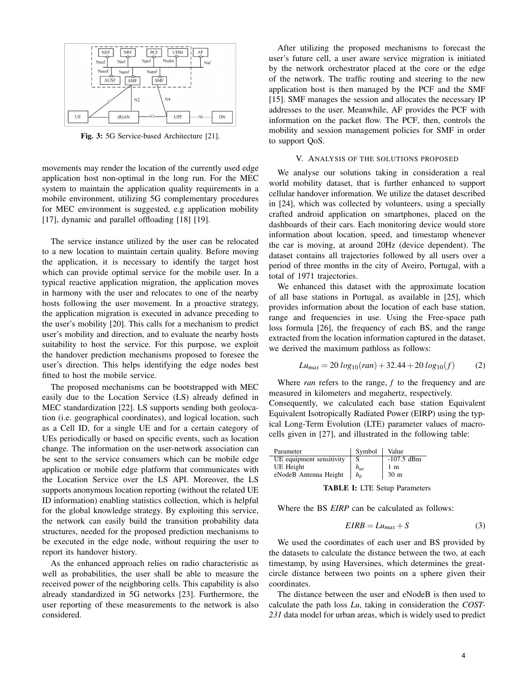

Fig. 3: 5G Service-based Architecture [21].

movements may render the location of the currently used edge application host non-optimal in the long run. For the MEC system to maintain the application quality requirements in a mobile environment, utilizing 5G complementary procedures for MEC environment is suggested, e.g application mobility [17], dynamic and parallel offloading [18] [19].

The service instance utilized by the user can be relocated to a new location to maintain certain quality. Before moving the application, it is necessary to identify the target host which can provide optimal service for the mobile user. In a typical reactive application migration, the application moves in harmony with the user and relocates to one of the nearby hosts following the user movement. In a proactive strategy, the application migration is executed in advance preceding to the user's mobility [20]. This calls for a mechanism to predict user's mobility and direction, and to evaluate the nearby hosts suitability to host the service. For this purpose, we exploit the handover prediction mechanisms proposed to foresee the user's direction. This helps identifying the edge nodes best fitted to host the mobile service.

The proposed mechanisms can be bootstrapped with MEC easily due to the Location Service (LS) already defined in MEC standardization [22]. LS supports sending both geolocation (i.e. geographical coordinates), and logical location, such as a Cell ID, for a single UE and for a certain category of UEs periodically or based on specific events, such as location change. The information on the user-network association can be sent to the service consumers which can be mobile edge application or mobile edge platform that communicates with the Location Service over the LS API. Moreover, the LS supports anonymous location reporting (without the related UE ID information) enabling statistics collection, which is helpful for the global knowledge strategy. By exploiting this service, the network can easily build the transition probability data structures, needed for the proposed prediction mechanisms to be executed in the edge node, without requiring the user to report its handover history.

As the enhanced approach relies on radio characteristic as well as probabilities, the user shall be able to measure the received power of the neighboring cells. This capability is also already standardized in 5G networks [23]. Furthermore, the user reporting of these measurements to the network is also considered.

After utilizing the proposed mechanisms to forecast the user's future cell, a user aware service migration is initiated by the network orchestrator placed at the core or the edge of the network. The traffic routing and steering to the new application host is then managed by the PCF and the SMF [15]. SMF manages the session and allocates the necessary IP addresses to the user. Meanwhile, AF provides the PCF with information on the packet flow. The PCF, then, controls the mobility and session management policies for SMF in order to support QoS.

#### V. ANALYSIS OF THE SOLUTIONS PROPOSED

We analyse our solutions taking in consideration a real world mobility dataset, that is further enhanced to support cellular handover information. We utilize the dataset described in [24], which was collected by volunteers, using a specially crafted android application on smartphones, placed on the dashboards of their cars. Each monitoring device would store information about location, speed, and timestamp whenever the car is moving, at around 20Hz (device dependent). The dataset contains all trajectories followed by all users over a period of three months in the city of Aveiro, Portugal, with a total of 1971 trajectories.

We enhanced this dataset with the approximate location of all base stations in Portugal, as available in [25], which provides information about the location of each base station, range and frequencies in use. Using the Free-space path loss formula [26], the frequency of each BS, and the range extracted from the location information captured in the dataset, we derived the maximum pathloss as follows:

$$
Lu_{max} = 20 \log_{10}(ran) + 32.44 + 20 \log_{10}(f) \tag{2}
$$

Where *ran* refers to the range, *f* to the frequency and are measured in kilometers and megahertz, respectively.

Consequently, we calculated each base station Equivalent Equivalent Isotropically Radiated Power (EIRP) using the typical Long-Term Evolution (LTE) parameter values of macrocells given in [27], and illustrated in the following table:

| Parameter                | Symbol   | Value        |
|--------------------------|----------|--------------|
| UE equipment sensitivity | S        | $-107.5$ dBm |
| UE Height                | $h_{ue}$ | 1 m          |
| eNodeB Antenna Height    | $h_h$    | 30 m         |
|                          |          |              |

TABLE I: LTE Setup Parameters

Where the BS *EIRP* can be calculated as follows:

$$
EIRB = Lu_{max} + S \tag{3}
$$

We used the coordinates of each user and BS provided by the datasets to calculate the distance between the two, at each timestamp, by using Haversines, which determines the greatcircle distance between two points on a sphere given their coordinates.

The distance between the user and eNodeB is then used to calculate the path loss *Lu*, taking in consideration the *COST-231* data model for urban areas, which is widely used to predict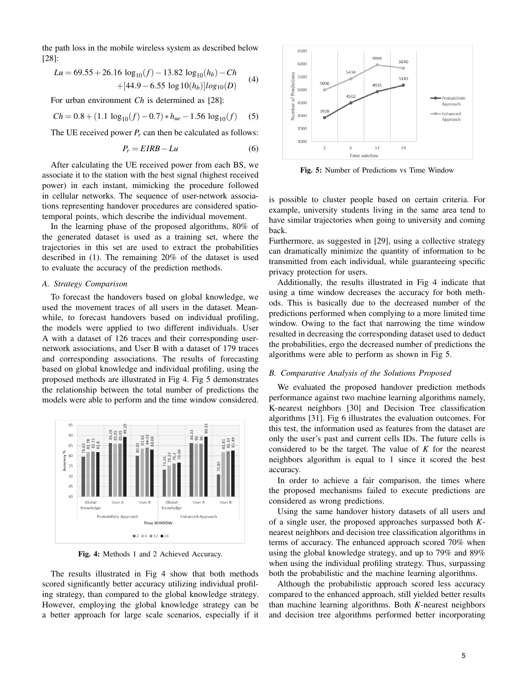the path loss in the mobile wireless system as described below [28]:

$$
Lu = 69.55 + 26.16 \log_{10}(f) - 13.82 \log_{10}(h_b) - Ch + [44.9 - 6.55 \log 10(h_b)]log_{10}(D)
$$
 (4)

For urban environment *Ch* is determined as [28]:

$$
Ch = 0.8 + (1.1 \log_{10}(f) - 0.7) * h_{ue} - 1.56 \log_{10}(f)
$$
 (5)

The UE received power  $P_r$  can then be calculated as follows:

$$
P_r = EIRB - Lu \tag{6}
$$

After calculating the UE received power from each BS, we associate it to the station with the best signal (highest received power) in each instant, mimicking the procedure followed in cellular networks. The sequence of user-network associations representing handover procedures are considered spatiotemporal points, which describe the individual movement.

In the learning phase of the proposed algorithms, 80% of the generated dataset is used as a training set, where the trajectories in this set are used to extract the probabilities described in (1). The remaining 20% of the dataset is used to evaluate the accuracy of the prediction methods.

## *A. Strategy Comparison*

To forecast the handovers based on global knowledge, we used the movement traces of all users in the dataset. Meanwhile, to forecast handovers based on individual profiling, the models were applied to two different individuals. User A with a dataset of 126 traces and their corresponding usernetwork associations, and User B with a dataset of 179 traces and corresponding associations. The results of forecasting based on global knowledge and individual profiling, using the proposed methods are illustrated in Fig 4. Fig 5 demonstrates the relationship between the total number of predictions the models were able to perform and the time window considered.



Fig. 4: Methods 1 and 2 Achieved Accuracy.

The results illustrated in Fig 4 show that both methods scored significantly better accuracy utilizing individual profiling strategy, than compared to the global knowledge strategy. However, employing the global knowledge strategy can be a better approach for large scale scenarios, especially if it



Fig. 5: Number of Predictions vs Time Window

is possible to cluster people based on certain criteria. For example, university students living in the same area tend to have similar trajectories when going to university and coming back.

Furthermore, as suggested in [29], using a collective strategy can dramatically minimize the quantity of information to be transmitted from each individual, while guaranteeing specific privacy protection for users.

Additionally, the results illustrated in Fig 4 indicate that using a time window decreases the accuracy for both methods. This is basically due to the decreased number of the predictions performed when complying to a more limited time window. Owing to the fact that narrowing the time window resulted in decreasing the corresponding dataset used to deduct the probabilities, ergo the decreased number of predictions the algorithms were able to perform as shown in Fig 5.

#### *B. Comparative Analysis of the Solutions Proposed*

We evaluated the proposed handover prediction methods performance against two machine learning algorithms namely, K-nearest neighbors [30] and Decision Tree classification algorithms [31]. Fig 6 illustrates the evaluation outcomes. For this test, the information used as features from the dataset are only the user's past and current cells IDs. The future cells is considered to be the target. The value of *K* for the nearest neighbors algorithm is equal to 1 since it scored the best accuracy.

In order to achieve a fair comparison, the times where the proposed mechanisms failed to execute predictions are considered as wrong predictions.

Using the same handover history datasets of all users and of a single user, the proposed approaches surpassed both *K*nearest neighbors and decision tree classification algorithms in terms of accuracy. The enhanced approach scored 70% when using the global knowledge strategy, and up to 79% and 89% when using the individual profiling strategy. Thus, surpassing both the probabilistic and the machine learning algorithms.

Although the probabilistic approach scored less accuracy compared to the enhanced approach, still yielded better results than machine learning algorithms. Both *K*-nearest neighbors and decision tree algorithms performed better incorporating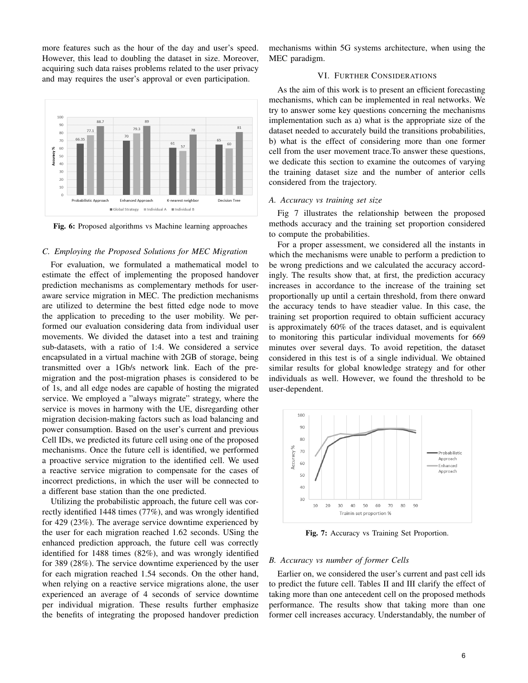more features such as the hour of the day and user's speed. However, this lead to doubling the dataset in size. Moreover, acquiring such data raises problems related to the user privacy and may requires the user's approval or even participation.



Fig. 6: Proposed algorithms vs Machine learning approaches

# *C. Employing the Proposed Solutions for MEC Migration*

For evaluation, we formulated a mathematical model to estimate the effect of implementing the proposed handover prediction mechanisms as complementary methods for useraware service migration in MEC. The prediction mechanisms are utilized to determine the best fitted edge node to move the application to preceding to the user mobility. We performed our evaluation considering data from individual user movements. We divided the dataset into a test and training sub-datasets, with a ratio of 1:4. We considered a service encapsulated in a virtual machine with 2GB of storage, being transmitted over a 1Gb/s network link. Each of the premigration and the post-migration phases is considered to be of 1s, and all edge nodes are capable of hosting the migrated service. We employed a "always migrate" strategy, where the service is moves in harmony with the UE, disregarding other migration decision-making factors such as load balancing and power consumption. Based on the user's current and previous Cell IDs, we predicted its future cell using one of the proposed mechanisms. Once the future cell is identified, we performed a proactive service migration to the identified cell. We used a reactive service migration to compensate for the cases of incorrect predictions, in which the user will be connected to a different base station than the one predicted.

Utilizing the probabilistic approach, the future cell was correctly identified 1448 times (77%), and was wrongly identified for 429 (23%). The average service downtime experienced by the user for each migration reached 1.62 seconds. USing the enhanced prediction approach, the future cell was correctly identified for 1488 times (82%), and was wrongly identified for 389 (28%). The service downtime experienced by the user for each migration reached 1.54 seconds. On the other hand, when relying on a reactive service migrations alone, the user experienced an average of 4 seconds of service downtime per individual migration. These results further emphasize the benefits of integrating the proposed handover prediction

mechanisms within 5G systems architecture, when using the MEC paradigm.

# VI. FURTHER CONSIDERATIONS

As the aim of this work is to present an efficient forecasting mechanisms, which can be implemented in real networks. We try to answer some key questions concerning the mechanisms implementation such as a) what is the appropriate size of the dataset needed to accurately build the transitions probabilities, b) what is the effect of considering more than one former cell from the user movement trace.To answer these questions, we dedicate this section to examine the outcomes of varying the training dataset size and the number of anterior cells considered from the trajectory.

#### *A. Accuracy vs training set size*

Fig 7 illustrates the relationship between the proposed methods accuracy and the training set proportion considered to compute the probabilities.

For a proper assessment, we considered all the instants in which the mechanisms were unable to perform a prediction to be wrong predictions and we calculated the accuracy accordingly. The results show that, at first, the prediction accuracy increases in accordance to the increase of the training set proportionally up until a certain threshold, from there onward the accuracy tends to have steadier value. In this case, the training set proportion required to obtain sufficient accuracy is approximately 60% of the traces dataset, and is equivalent to monitoring this particular individual movements for 669 minutes over several days. To avoid repetition, the dataset considered in this test is of a single individual. We obtained similar results for global knowledge strategy and for other individuals as well. However, we found the threshold to be user-dependent.



Fig. 7: Accuracy vs Training Set Proportion.

# *B. Accuracy vs number of former Cells*

Earlier on, we considered the user's current and past cell ids to predict the future cell. Tables II and III clarify the effect of taking more than one antecedent cell on the proposed methods performance. The results show that taking more than one former cell increases accuracy. Understandably, the number of